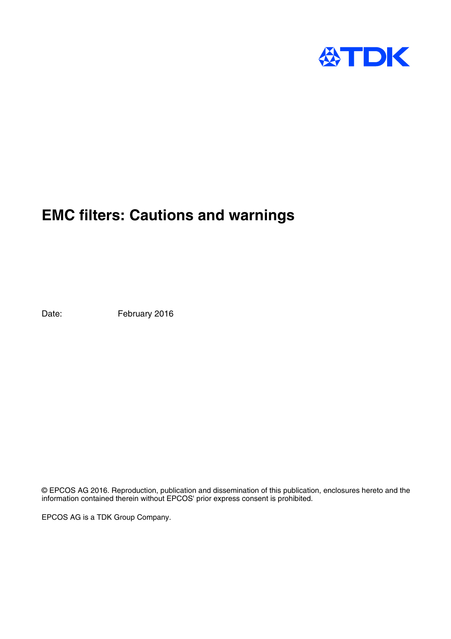

# **EMC filters: Cautions and warnings**

Date: February 2016

© EPCOS AG 2016. Reproduction, publication and dissemination of this publication, enclosures hereto and the information contained therein without EPCOS' prior express consent is prohibited.

EPCOS AG is a TDK Group Company.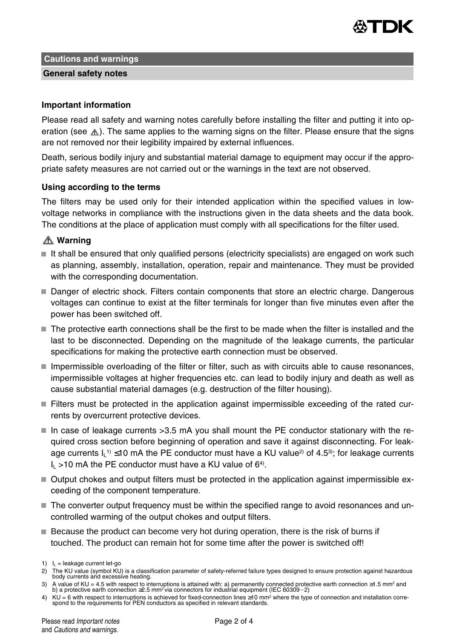

**Cautions and warnings**

### **General safety notes**

### **Important information**

Please read all safety and warning notes carefully before installing the filter and putting it into operation (see  $\triangle$ ). The same applies to the warning signs on the filter. Please ensure that the signs are not removed nor their legibility impaired by external influences.

Death, serious bodily injury and substantial material damage to equipment may occur if the appropriate safety measures are not carried out or the warnings in the text are not observed.

#### **Using according to the terms**

The filters may be used only for their intended application within the specified values in lowvoltage networks in compliance with the instructions given in the data sheets and the data book. The conditions at the place of application must comply with all specifications for the filter used.

## **Warning**

- It shall be ensured that only qualified persons (electricity specialists) are engaged on work such as planning, assembly, installation, operation, repair and maintenance. They must be provided with the corresponding documentation.
- Danger of electric shock. Filters contain components that store an electric charge. Dangerous voltages can continue to exist at the filter terminals for longer than five minutes even after the power has been switched off.
- The protective earth connections shall be the first to be made when the filter is installed and the last to be disconnected. Depending on the magnitude of the leakage currents, the particular specifications for making the protective earth connection must be observed.
- $\blacksquare$  Impermissible overloading of the filter or filter, such as with circuits able to cause resonances. impermissible voltages at higher frequencies etc. can lead to bodily injury and death as well as cause substantial material damages (e.g. destruction of the filter housing).
- Filters must be protected in the application against impermissible exceeding of the rated currents by overcurrent protective devices.
- In case of leakage currents  $>3.5$  mA you shall mount the PE conductor stationary with the required cross section before beginning of operation and save it against disconnecting. For leakage currents I<sub>L</sub>1) ≤10 mA the PE conductor must have a KU value<sup>2)</sup> of 4.5<sup>3</sup>); for leakage currents  $I_L > 10$  mA the PE conductor must have a KU value of 6<sup>4)</sup>.
- Output chokes and output filters must be protected in the application against impermissible exceeding of the component temperature.
- The converter output frequency must be within the specified range to avoid resonances and uncontrolled warming of the output chokes and output filters.
- Because the product can become very hot during operation, there is the risk of burns if touched. The product can remain hot for some time after the power is switched off!

<sup>1)</sup>  $I_L$  = leakage current let-go

<sup>2)</sup> The KU value (symbol KU) is a classification parameter of safety-referred failure types designed to ensure protection against hazardous body currents and excessive heating.

<sup>3)</sup> A value of KU = 4.5 with respect to interruptions is attained with: a) permanently connected protective earth connection ≥1.5 mm² and<br>«b) a protective earth connection ≥2.5 mm² via connectors for industrial equipment (

<sup>4)</sup> KU = 6 with respect to interruptions is achieved for fixed-connection lines ≥10 mm<sup>2</sup> where the type of connection and installation correspond to the requirements for PEN conductors as specified in relevant standards.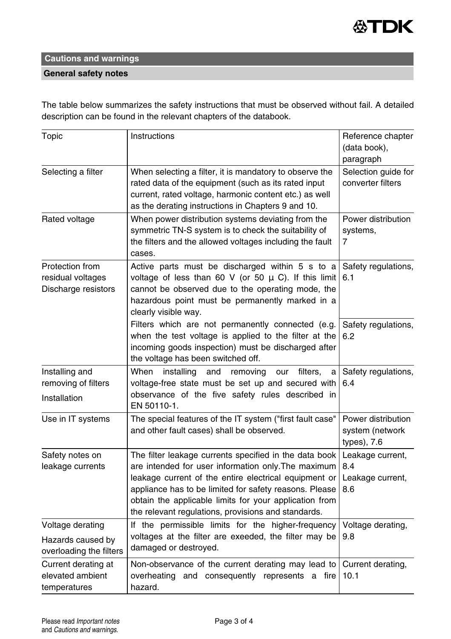

# **Cautions and warnings**

## **General safety notes**

The table below summarizes the safety instructions that must be observed without fail. A detailed description can be found in the relevant chapters of the databook.

| Topic                                                            | Instructions                                                                                                                                                                                                                                                                                                                                      | Reference chapter<br>(data book),<br>paragraph       |
|------------------------------------------------------------------|---------------------------------------------------------------------------------------------------------------------------------------------------------------------------------------------------------------------------------------------------------------------------------------------------------------------------------------------------|------------------------------------------------------|
| Selecting a filter                                               | When selecting a filter, it is mandatory to observe the<br>rated data of the equipment (such as its rated input<br>current, rated voltage, harmonic content etc.) as well<br>as the derating instructions in Chapters 9 and 10.                                                                                                                   | Selection guide for<br>converter filters             |
| Rated voltage                                                    | When power distribution systems deviating from the<br>symmetric TN-S system is to check the suitability of<br>the filters and the allowed voltages including the fault<br>cases.                                                                                                                                                                  | Power distribution<br>systems,<br>7                  |
| Protection from<br>residual voltages<br>Discharge resistors      | Active parts must be discharged within 5 s to a<br>voltage of less than 60 V (or 50 $\mu$ C). If this limit<br>cannot be observed due to the operating mode, the<br>hazardous point must be permanently marked in a<br>clearly visible way.                                                                                                       | Safety regulations,<br>6.1                           |
|                                                                  | Filters which are not permanently connected (e.g.<br>when the test voltage is applied to the filter at the<br>incoming goods inspection) must be discharged after<br>the voltage has been switched off.                                                                                                                                           | Safety regulations,<br>6.2                           |
| Installing and<br>removing of filters<br>Installation            | When<br>installing<br>and<br>removing<br>our<br>filters,<br>a<br>voltage-free state must be set up and secured with<br>observance of the five safety rules described in<br>EN 50110-1.                                                                                                                                                            | Safety regulations,<br>6.4                           |
| Use in IT systems                                                | The special features of the IT system ("first fault case"<br>and other fault cases) shall be observed.                                                                                                                                                                                                                                            | Power distribution<br>system (network<br>types), 7.6 |
| Safety notes on<br>leakage currents                              | The filter leakage currents specified in the data book<br>are intended for user information only. The maximum<br>leakage current of the entire electrical equipment or<br>appliance has to be limited for safety reasons. Please<br>obtain the applicable limits for your application from<br>the relevant regulations, provisions and standards. | Leakage current,<br>8.4<br>Leakage current,<br>8.6   |
| Voltage derating<br>Hazards caused by<br>overloading the filters | If the permissible limits for the higher-frequency<br>voltages at the filter are exeeded, the filter may be<br>damaged or destroyed.                                                                                                                                                                                                              | Voltage derating,<br>9.8                             |
| Current derating at<br>elevated ambient<br>temperatures          | Non-observance of the current derating may lead to<br>overheating and consequently represents a fire<br>hazard.                                                                                                                                                                                                                                   | Current derating,<br>10.1                            |